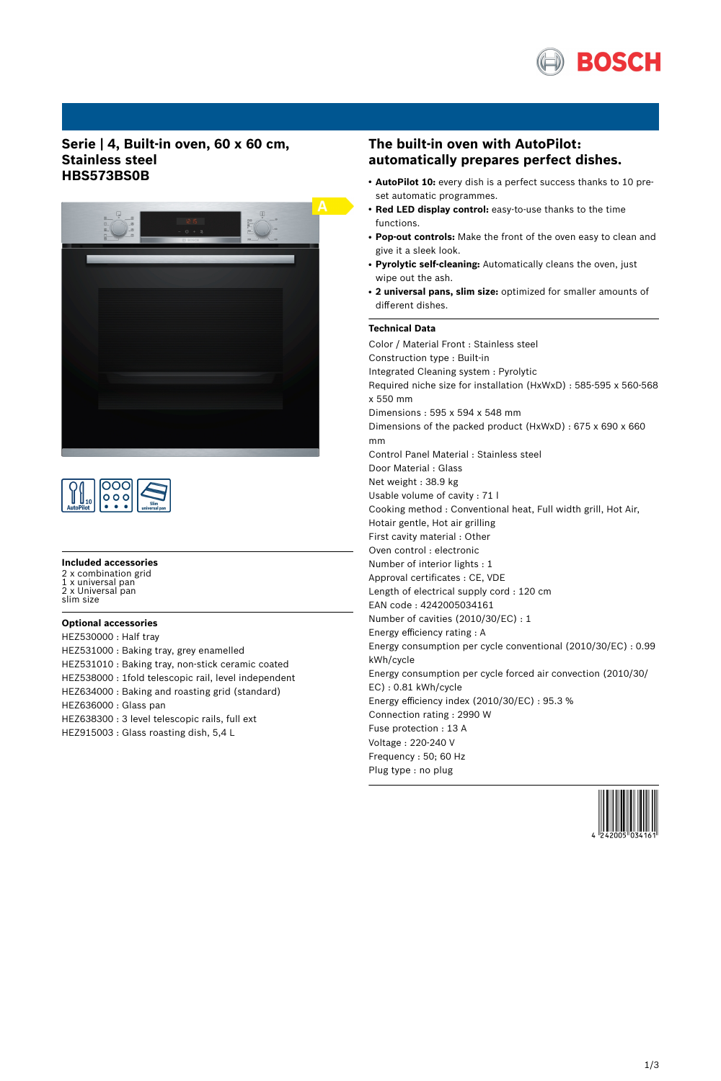

# **Serie | 4, Built-in oven, 60 x 60 cm, Stainless steel HBS573BS0B**



| <b>AutoPilot</b> | $\Omega$<br>o | sal pan |
|------------------|---------------|---------|
|------------------|---------------|---------|

#### **Included accessories**

2 x combination grid 1 x universal pan 2 x Universal pan slim size

#### **Optional accessories**

HEZ530000 : Half tray HEZ531000 : Baking tray, grey enamelled HEZ531010 : Baking tray, non-stick ceramic coated HEZ538000 : 1fold telescopic rail, level independent HEZ634000 : Baking and roasting grid (standard) HEZ636000 : Glass pan HEZ638300 : 3 level telescopic rails, full ext HEZ915003 : Glass roasting dish, 5,4 L

# **The built-in oven with AutoPilot: automatically prepares perfect dishes.**

- **AutoPilot 10:** every dish is a perfect success thanks to 10 preset automatic programmes.
- **Red LED display control:** easy-to-use thanks to the time functions.
- **Pop-out controls:** Make the front of the oven easy to clean and give it a sleek look.
- **Pyrolytic self-cleaning:** Automatically cleans the oven, just wipe out the ash.
- **2 universal pans, slim size:** optimized for smaller amounts of different dishes.

## **Technical Data**

Color / Material Front : Stainless steel Construction type : Built-in Integrated Cleaning system : Pyrolytic Required niche size for installation (HxWxD) : 585-595 x 560-568 x 550 mm Dimensions : 595 x 594 x 548 mm Dimensions of the packed product (HxWxD) : 675 x 690 x 660 mm Control Panel Material : Stainless steel Door Material : Glass Net weight : 38.9 kg Usable volume of cavity : 71 l Cooking method : Conventional heat, Full width grill, Hot Air, Hotair gentle, Hot air grilling First cavity material : Other Oven control : electronic Number of interior lights : 1 Approval certificates : CE, VDE Length of electrical supply cord : 120 cm EAN code : 4242005034161 Number of cavities (2010/30/EC) : 1 Energy efficiency rating : A Energy consumption per cycle conventional (2010/30/EC) : 0.99 kWh/cycle Energy consumption per cycle forced air convection (2010/30/ EC) : 0.81 kWh/cycle Energy efficiency index (2010/30/EC) : 95.3 % Connection rating : 2990 W Fuse protection : 13 A Voltage : 220-240 V Frequency : 50; 60 Hz Plug type : no plug

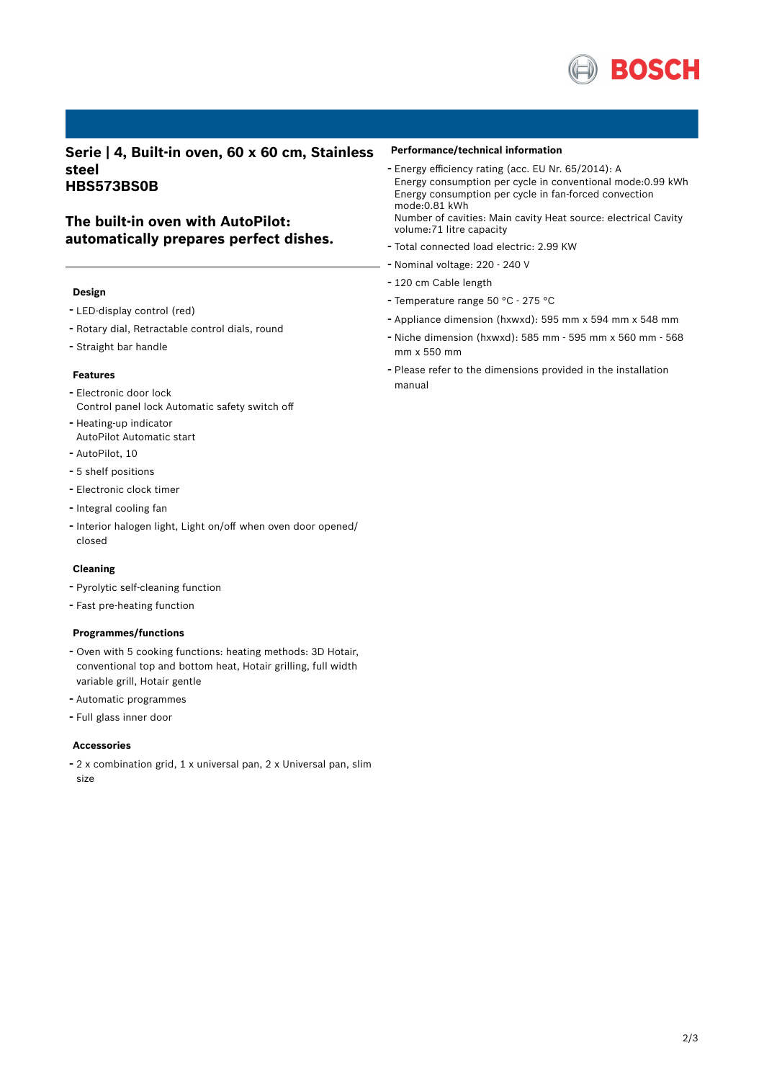

**Serie | 4, Built-in oven, 60 x 60 cm, Stainless steel HBS573BS0B**

# **The built-in oven with AutoPilot: automatically prepares perfect dishes.**

## **Design**

- LED-display control (red)
- Rotary dial, Retractable control dials, round
- Straight bar handle

# **Features**

- Electronic door lock Control panel lock Automatic safety switch off
- Heating-up indicator AutoPilot Automatic start
- AutoPilot, <sup>10</sup>
- 5 shelf positions
- Electronic clock timer
- Integral cooling fan
- Interior halogen light, Light on/off when oven door opened/ closed

## **Cleaning**

- Pyrolytic self-cleaning function
- Fast pre-heating function

## **Programmes/functions**

- Oven with <sup>5</sup> cooking functions: heating methods: 3D Hotair, conventional top and bottom heat, Hotair grilling, full width variable grill, Hotair gentle
- Automatic programmes
- Full glass inner door

#### **Accessories**

- <sup>2</sup> <sup>x</sup> combination grid, <sup>1</sup> <sup>x</sup> universal pan, <sup>2</sup> <sup>x</sup> Universal pan, slim size

#### **Performance/technical information**

- Energy efficiency rating (acc. EU Nr. 65/2014): <sup>A</sup> Energy consumption per cycle in conventional mode:0.99 kWh Energy consumption per cycle in fan-forced convection mode:0.81 kWh Number of cavities: Main cavity Heat source: electrical Cavity volume:71 litre capacity
- Total connected load electric: 2.99 KW
- Nominal voltage: <sup>220</sup> <sup>240</sup> <sup>V</sup>
- <sup>120</sup> cm Cable length
- Temperature range <sup>50</sup> °C <sup>275</sup> °C
- Appliance dimension (hxwxd): 595 mm x 594 mm x 548 mm
- Niche dimension (hxwxd): <sup>585</sup> mm <sup>595</sup> mm <sup>x</sup> <sup>560</sup> mm <sup>568</sup> mm x 550 mm
- Please refer to the dimensions provided in the installation manual